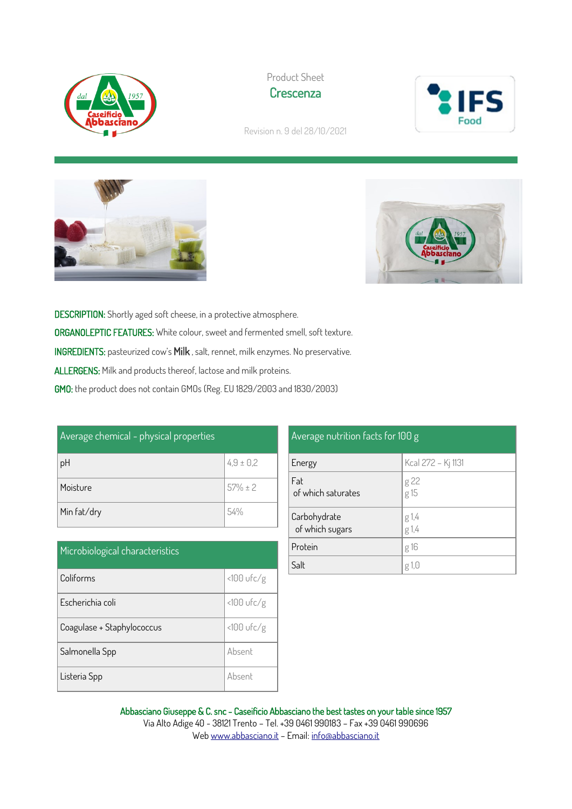





Revision n. 9 del 28/10/2021





DESCRIPTION: Shortly aged soft cheese, in a protective atmosphere. ORGANOLEPTIC FEATURES: White colour, sweet and fermented smell, soft texture. INGREDIENTS: pasteurized cow's Milk , salt, rennet, milk enzymes. No preservative. ALLERGENS: Milk and products thereof, lactose and milk proteins. GMO: the product does not contain GMOs (Reg. EU 1829/2003 and 1830/2003)

| Average chemical - physical properties |               |  |
|----------------------------------------|---------------|--|
| pH                                     | $4.9 \pm 0.2$ |  |
| Moisture                               | $57\% \pm 2$  |  |
| Min fat/dry                            | .54%          |  |

| Microbiological characteristics |              |
|---------------------------------|--------------|
| Coliforms                       | $<100$ ufc/g |
| Escherichia coli                | $<100$ ufc/g |
| Coagulase + Staphylococcus      | $<100$ ufc/g |
| Salmonella Spp                  | Absent       |
| Listeria Spp                    | Absent       |

| Average nutrition facts for 100 g |                    |  |
|-----------------------------------|--------------------|--|
| Energy                            | Kcal 272 - Kj 1131 |  |
| Fat<br>of which saturates         | g 22<br>g 15       |  |
| Carbohydrate<br>of which sugars   | $g 1,4$<br>$g 1,4$ |  |
| Protein                           | g 16               |  |
| Salt                              | g 1,0              |  |

Abbasciano Giuseppe & C. snc - Caseificio Abbasciano the best tastes on your table since 1957 Via Alto Adige 40 - 38121 Trento – Tel. +39 0461 990183 – Fax +39 0461 990696 We[b www.abbasciano.it](http://www.abbasciano.it/) – Email[: info@abbasciano.it](mailto:info@abbasciano.it)